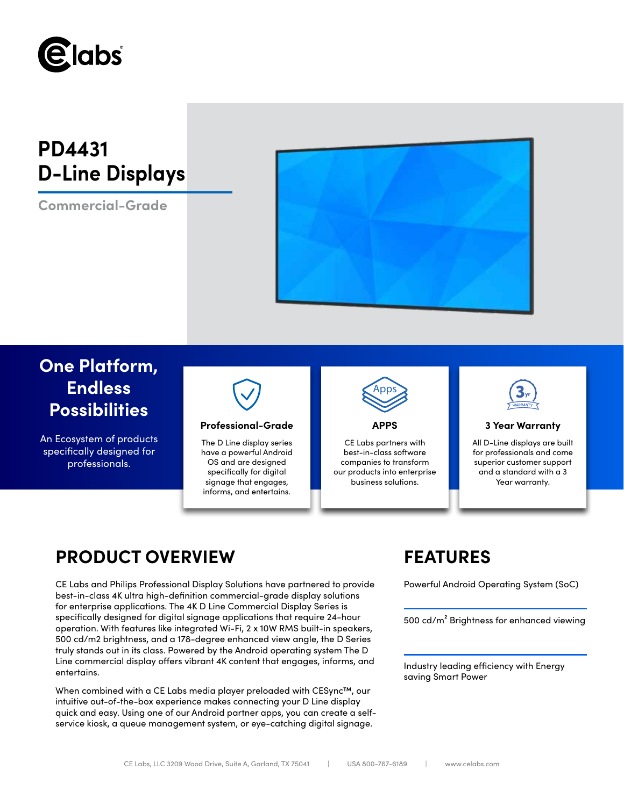

# **PD4431 D-Line Displays**

**Commercial-Grade**



## **One Platform, Endless Possibilities**

An Ecosystem of products specifically designed for professionals.



### **Professional-Grade APPS 3 Year Warranty**

The D Line display series have a powerful Android OS and are designed specifically for digital signage that engages, informs, and entertains.



CE Labs partners with best-in-class software companies to transform our products into enterprise business solutions.



All D-Line displays are built for professionals and come superior customer support and a standard with a 3 Year warranty.

## **PRODUCT OVERVIEW FEATURES**

CE Labs and Philips Professional Display Solutions have partnered to provide Powerful Android Operating System (SoC) best-in-class 4K ultra high-definition commercial-grade display solutions for enterprise applications. The 4K D Line Commercial Display Series is specifically designed for digital signage applications that require 24-hour operation. With features like integrated Wi-Fi, 2 x 10W RMS built-in speakers, 500 cd/m2 brightness, and a 178-degree enhanced view angle, the D Series truly stands out in its class. Powered by the Android operating system The D Line commercial display offers vibrant 4K content that engages, informs, and entertains.

When combined with a CE Labs media player preloaded with CESync™, our intuitive out-of-the-box experience makes connecting your D Line display quick and easy. Using one of our Android partner apps, you can create a selfservice kiosk, a queue management system, or eye-catching digital signage.

500 cd/m² Brightness for enhanced viewing

Industry leading efficiency with Energy saving Smart Power